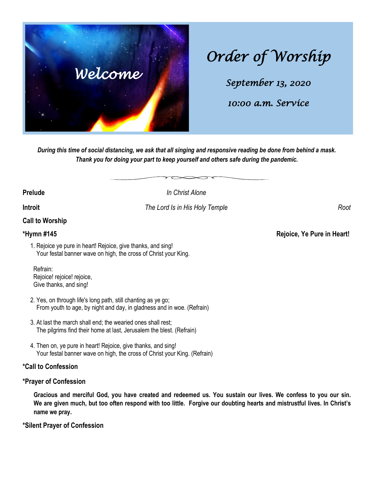

# *Order of Worship*

*September 13, 2020* 

*10:00 a.m. Service* 

*During this time of social distancing, we ask that all singing and responsive reading be done from behind a mask. Thank you for doing your part to keep yourself and others safe during the pandemic.*

**Prelude** *In Christ Alone*

**Introit** *The Lord Is in His Holy Temple**Root* 

### **Call to Worship**

### **\*Hymn #145 Rejoice, Ye Pure in Heart!**

1. Rejoice ye pure in heart! Rejoice, give thanks, and sing! Your festal banner wave on high, the cross of Christ your King.

 Refrain: Rejoice! rejoice! rejoice, Give thanks, and sing!

- 2. Yes, on through life's long path, still chanting as ye go; From youth to age, by night and day, in gladness and in woe. (Refrain)
- 3. At last the march shall end; the wearied ones shall rest; The pilgrims find their home at last, Jerusalem the blest. (Refrain)
- 4. Then on, ye pure in heart! Rejoice, give thanks, and sing! Your festal banner wave on high, the cross of Christ your King. (Refrain)

### **\*Call to Confession**

### **\*Prayer of Confession**

**Gracious and merciful God, you have created and redeemed us. You sustain our lives. We confess to you our sin. We are given much, but too often respond with too little. Forgive our doubting hearts and mistrustful lives. In Christ's name we pray.**

### **\*Silent Prayer of Confession**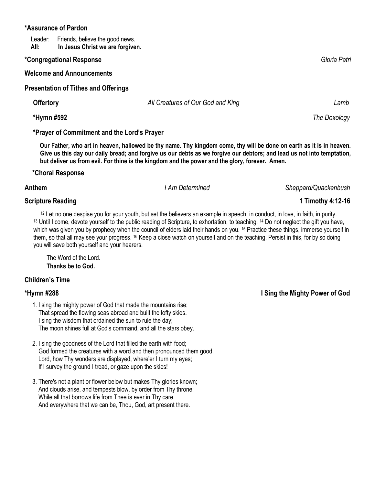### **\*Assurance of Pardon**

Leader: Friends, believe the good news.<br>**All: In Jesus Christ we are forgive** In Jesus Christ we are forgiven.

### **\*Congregational Response** *Gloria Patri*

**Welcome and Announcements**

**Presentation of Tithes and Offerings** 

 **Offertory** *All Creatures of Our God and King Lamb*

 **\*Hymn #592** *The Doxology*

### **\*Prayer of Commitment and the Lord's Prayer**

 **Our Father, who art in heaven, hallowed be thy name. Thy kingdom come, thy will be done on earth as it is in heaven. Give us this day our daily bread; and forgive us our debts as we forgive our debtors; and lead us not into temptation, but deliver us from evil. For thine is the kingdom and the power and the glory, forever. Amen.** 

### **\*Choral Response**

## **Scripture Reading 1 Timothy 4:12-16**

<sup>12</sup> Let no one despise you for your youth, but set the believers an example in speech, in conduct, in love, in faith, in purity. 13 Until I come, devote yourself to the public reading of Scripture, to exhortation, to teaching. 14 Do not neglect the gift you have, which was given you by prophecy when the council of elders laid their hands on you. <sup>15</sup> Practice these things, immerse yourself in them, so that all may see your progress. <sup>16</sup> Keep a close watch on yourself and on the teaching. Persist in this, for by so doing you will save both yourself and your hearers.

The Word of the Lord. **Thanks be to God.**

# **Children's Time**

- 1. I sing the mighty power of God that made the mountains rise; That spread the flowing seas abroad and built the lofty skies. I sing the wisdom that ordained the sun to rule the day; The moon shines full at God's command, and all the stars obey.
- 2. I sing the goodness of the Lord that filled the earth with food; God formed the creatures with a word and then pronounced them good. Lord, how Thy wonders are displayed, where'er I turn my eyes; If I survey the ground I tread, or gaze upon the skies!
- 3. There's not a plant or flower below but makes Thy glories known; And clouds arise, and tempests blow, by order from Thy throne; While all that borrows life from Thee is ever in Thy care, And everywhere that we can be, Thou, God, art present there.

**\*Hymn #288 I Sing the Mighty Power of God**

**Anthem** *I Am Determined Sheppard/Quackenbush*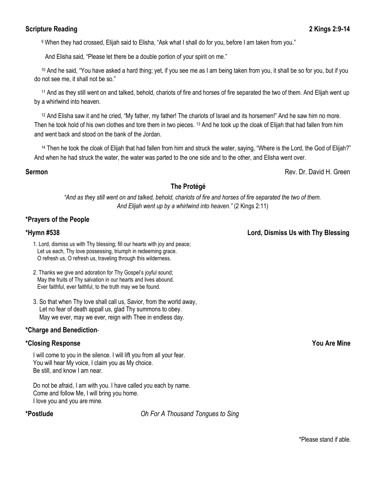### **Scripture Reading 2:9-14 2 Kings 2:9-14**

<sup>9</sup> When they had crossed, Elijah said to Elisha, "Ask what I shall do for you, before I am taken from you."

And Elisha said, "Please let there be a double portion of your spirit on me."

<sup>10</sup> And he said, "You have asked a hard thing; yet, if you see me as I am being taken from you, it shall be so for you, but if you do not see me, it shall not be so."

<sup>11</sup> And as they still went on and talked, behold, chariots of fire and horses of fire separated the two of them. And Elijah went up by a whirlwind into heaven.

<sup>12</sup> And Elisha saw it and he cried, "My father, my father! The chariots of Israel and its horsemen!" And he saw him no more. Then he took hold of his own clothes and tore them in two pieces. 13 And he took up the cloak of Elijah that had fallen from him and went back and stood on the bank of the Jordan.

14 Then he took the cloak of Elijah that had fallen from him and struck the water, saying, "Where is the Lord, the God of Elijah?" And when he had struck the water, the water was parted to the one side and to the other, and Elisha went over.

**Sermon** Rev. Dr. David H. Green

### **The Protégé**

*"And as they still went on and talked, behold, chariots of fire and horses of fire separated the two of them. And Elijah went up by a whirlwind into heaven."* (2 Kings 2:11)

### **\*Prayers of the People**

- 1. Lord, dismiss us with Thy blessing; fill our hearts with joy and peace; Let us each, Thy love possessing, triumph in redeeming grace. O refresh us, O refresh us, traveling through this wilderness.
- 2. Thanks we give and adoration for Thy Gospel's joyful sound; May the fruits of Thy salvation in our hearts and lives abound. Ever faithful, ever faithful, to the truth may we be found.
- 3. So that when Thy love shall call us, Savior, from the world away, Let no fear of death appall us, glad Thy summons to obey. May we ever, may we ever, reign with Thee in endless day.

### **\*Charge and Benediction**-

### **\*Closing Response You Are Mine**

I will come to you in the silence. I will lift you from all your fear. You will hear My voice, I claim you as My choice. Be still, and know I am near.

Do not be afraid, I am with you. I have called you each by name. Come and follow Me, I will bring you home. I love you and you are mine.

**\*Postlude** *Oh For A Thousand Tongues to Sing* 

**\*Hymn #538 Lord, Dismiss Us with Thy Blessing**